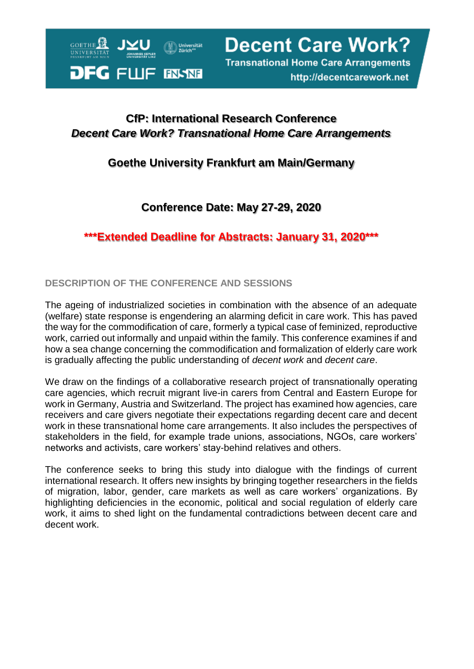

**Decent Care Work? Transnational Home Care Arrangements** 

http://decentcarework.net

# **CfP: International Research Conference** *Decent Care Work? Transnational Home Care Arrangements*

### **Goethe University Frankfurt am Main/Germany**

# **Conference Date: May 27-29, 2020**

**\*\*\*Extended Deadline for Abstracts: January 31, 2020\*\*\***

### **DESCRIPTION OF THE CONFERENCE AND SESSIONS**

The ageing of industrialized societies in combination with the absence of an adequate (welfare) state response is engendering an alarming deficit in care work. This has paved the way for the commodification of care, formerly a typical case of feminized, reproductive work, carried out informally and unpaid within the family. This conference examines if and how a sea change concerning the commodification and formalization of elderly care work is gradually affecting the public understanding of *decent work* and *decent care*.

We draw on the findings of a collaborative research project of transnationally operating care agencies, which recruit migrant live-in carers from Central and Eastern Europe for work in Germany, Austria and Switzerland. The project has examined how agencies, care receivers and care givers negotiate their expectations regarding decent care and decent work in these transnational home care arrangements. It also includes the perspectives of stakeholders in the field, for example trade unions, associations, NGOs, care workers' networks and activists, care workers' stay-behind relatives and others.

The conference seeks to bring this study into dialogue with the findings of current international research. It offers new insights by bringing together researchers in the fields of migration, labor, gender, care markets as well as care workers' organizations. By highlighting deficiencies in the economic, political and social regulation of elderly care work, it aims to shed light on the fundamental contradictions between decent care and decent work.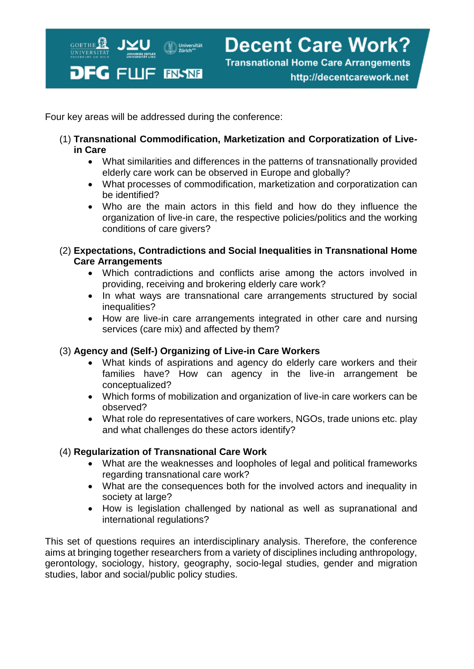

Four key areas will be addressed during the conference:

- (1) **Transnational Commodification, Marketization and Corporatization of Livein Care**
	- What similarities and differences in the patterns of transnationally provided elderly care work can be observed in Europe and globally?
	- What processes of commodification, marketization and corporatization can be identified?
	- Who are the main actors in this field and how do they influence the organization of live-in care, the respective policies/politics and the working conditions of care givers?
- (2) **Expectations, Contradictions and Social Inequalities in Transnational Home Care Arrangements**
	- Which contradictions and conflicts arise among the actors involved in providing, receiving and brokering elderly care work?
	- In what ways are transnational care arrangements structured by social inequalities?
	- How are live-in care arrangements integrated in other care and nursing services (care mix) and affected by them?

### (3) **Agency and (Self-) Organizing of Live-in Care Workers**

- What kinds of aspirations and agency do elderly care workers and their families have? How can agency in the live-in arrangement be conceptualized?
- Which forms of mobilization and organization of live-in care workers can be observed?
- What role do representatives of care workers, NGOs, trade unions etc. play and what challenges do these actors identify?

### (4) **Regularization of Transnational Care Work**

- What are the weaknesses and loopholes of legal and political frameworks regarding transnational care work?
- What are the consequences both for the involved actors and inequality in society at large?
- How is legislation challenged by national as well as supranational and international regulations?

This set of questions requires an interdisciplinary analysis. Therefore, the conference aims at bringing together researchers from a variety of disciplines including anthropology, gerontology, sociology, history, geography, socio-legal studies, gender and migration studies, labor and social/public policy studies.